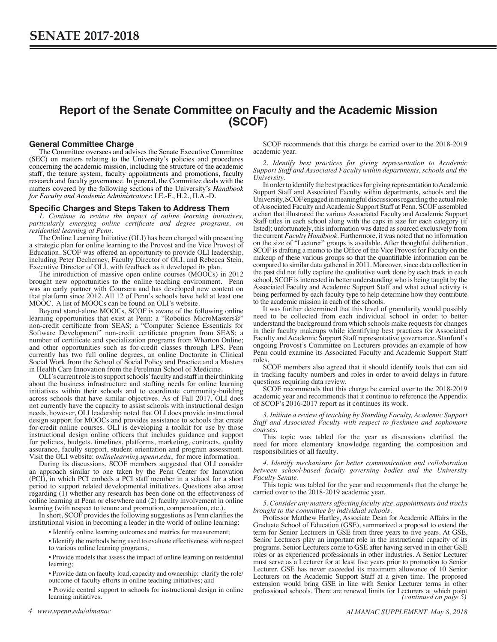# **Report of the Senate Committee on Faculty and the Academic Mission (SCOF)**

#### **General Committee Charge**

The Committee oversees and advises the Senate Executive Committee (SEC) on matters relating to the University's policies and procedures concerning the academic mission, including the structure of the academic staff, the tenure system, faculty appointments and promotions, faculty research and faculty governance. In general, the Committee deals with the matters covered by the following sections of the University's *Handbook for Faculty and Academic Administrators*: I.E.-F., H.2., II.A.-D.

### **Specific Charges and Steps Taken to Address Them**

*1. Continue to review the impact of online learning initiatives, particularly emerging online certificate and degree programs, on residential learning at Penn.*

The Online Learning Initiative (OLI) has been charged with presenting a strategic plan for online learning to the Provost and the Vice Provost of Education. SCOF was offered an opportunity to provide OLI leadership, including Peter Decherney, Faculty Director of OLI, and Rebecca Stein, Executive Director of OLI, with feedback as it developed its plan.

The introduction of massive open online courses (MOOCs) in 2012 brought new opportunities to the online teaching environment. Penn was an early partner with Coursera and has developed new content on that platform since 2012. All 12 of Penn's schools have held at least one MOOC. A list of MOOCs can be found on OLI's website.

Beyond stand-alone MOOCs, SCOF is aware of the following online learning opportunities that exist at Penn: a "Robotics MicroMasters®" non-credit certificate from SEAS; a "Computer Science Essentials for Software Development" non-credit certificate program from SEAS; a number of certificate and specialization programs from Wharton Online; and other opportunities such as for-credit classes through LPS. Penn currently has two full online degrees, an online Doctorate in Clinical Social Work from the School of Social Policy and Practice and a Masters in Health Care Innovation from the Perelman School of Medicine.

OLI's current role is to support schools' faculty and staff in their thinking about the business infrastructure and staffing needs for online learning initiatives within their schools and to coordinate community-building across schools that have similar objectives. As of Fall 2017, OLI does not currently have the capacity to assist schools with instructional design needs, however, OLI leadership noted that OLI does provide instructional design support for MOOCs and provides assistance to schools that create for-credit online courses. OLI is developing a toolkit for use by those instructional design online officers that includes guidance and support for policies, budgets, timelines, platforms, marketing, contracts, quality assurance, faculty support, student orientation and program assessment. Visit the OLI website: *<onlinelearning.upenn.edu>*, for more information.

During its discussions, SCOF members suggested that OLI consider an approach similar to one taken by the Penn Center for Innovation (PCI), in which PCI embeds a PCI staff member in a school for a short period to support related developmental initiatives. Questions also arose regarding (1) whether any research has been done on the effectiveness of online learning at Penn or elsewhere and (2) faculty involvement in online learning (with respect to tenure and promotion, compensation, etc.).

In short, SCOF provides the following suggestions as Penn clarifies the institutional vision in becoming a leader in the world of online learning:

• Identify online learning outcomes and metrics for measurement;

• Identify the methods being used to evaluate effectiveness with respect to various online learning programs;

• Provide models that assess the impact of online learning on residential learning;

• Provide data on faculty load, capacity and ownership: clarify the role/ outcome of faculty efforts in online teaching initiatives; and

• Provide central support to schools for instructional design in online learning initiatives.

SCOF recommends that this charge be carried over to the 2018-2019 academic year.

*2. Identify best practices for giving representation to Academic Support Staff and Associated Faculty within departments, schools and the University.* 

In order to identify the best practices for giving representation to Academic Support Staff and Associated Faculty within departments, schools and the University, SCOF engaged in meaningful discussions regarding the actual role of Associated Faculty and Academic Support Staff at Penn. SCOF assembled a chart that illustrated the various Associated Faculty and Academic Support Staff titles in each school along with the caps in size for each category (if listed); unfortunately, this information was dated as sourced exclusively from the current *Faculty Handbook*. Furthermore, it was noted that no information on the size of "Lecturer" groups is available. After thoughtful deliberation, SCOF is drafting a memo to the Office of the Vice Provost for Faculty on the makeup of these various groups so that the quantifiable information can be compared to similar data gathered in 2011. Moreover, since data collection in the past did not fully capture the qualitative work done by each track in each school, SCOF is interested in better understanding who is being taught by the Associated Faculty and Academic Support Staff and what actual activity is being performed by each faculty type to help determine how they contribute to the academic mission in each of the schools.

It was further determined that this level of granularity would possibly need to be collected from each individual school in order to better understand the background from which schools make requests for changes in their faculty makeups while identifying best practices for Associated Faculty and Academic Support Staff representative governance. Stanford's ongoing [Provost's Committee on Lecturers](https://news.stanford.edu/2018/01/30/provosts-committee-lecturers/) provides an example of how Penn could examine its Associated Faculty and Academic Support Staff roles.

SCOF members also agreed that it should identify tools that can aid in tracking faculty numbers and roles in order to avoid delays in future questions requiring data review.

SCOF recommends that this charge be carried over to the 2018-2019 academic year and recommends that it continue to reference the Appendix of SCOF's 2016-2017 report as it continues its work.

*3. Initiate a review of teaching by Standing Faculty, Academic Support Staff and Associated Faculty with respect to freshmen and sophomore courses.*

This topic was tabled for the year as discussions clarified the need for more elementary knowledge regarding the composition and responsibilities of all faculty.

*4. Identify mechanisms for better communication and collaboration between school-based faculty governing bodies and the University Faculty Senate.* 

This topic was tabled for the year and recommends that the charge be carried over to the 2018-2019 academic year.

*5. Consider any matters affecting faculty size, appointments and tracks brought to the committee by individual schools.*

Professor Matthew Hartley, Associate Dean for Academic Affairs in the Graduate School of Education (GSE), summarized a proposal to extend the term for Senior Lecturers in GSE from three years to five years. At GSE, Senior Lecturers play an important role in the instructional capacity of its programs. Senior Lecturers come to GSE after having served in in other GSE roles or as experienced professionals in other industries. A Senior Lecturer must serve as a Lecturer for at least five years prior to promotion to Senior Lecturer. GSE has never exceeded its maximum allowance of 10 Senior Lecturers on the Academic Support Staff at a given time. The proposed extension would bring GSE in line with Senior Lecturer terms in other professional schools. There are renewal limits for Lecturers at which point *(continued on page 5)*